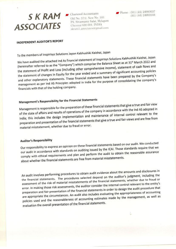# SKRAM Chartered Accountants **ASSOCIATES**

Old No. 57/2. New No. 103 P.S. Sivaswamy Salai, Mylapore Chennai 600 004. INDIA skram1.associates@gmail.com Phone: (91) (44) 24993637  $(91)$   $(44)$  24991644

## INDEPENDENT AUDITOR'S REPORT

To the members of Inspirisys Solutions Japan Kabhushiki Kaishai, Japan

We have audited the attached Ind As financial statement of Inspirisys Solutions Kabhushiki Kaishai, Japan (hereinafter referred to as the "Company") which comprise the Balance Sheet as at 31st March 2022 and the statement of Profit and Loss (including other comprehensive income), statement of cash flows and the statement of changes in Equity for the year ended and a summary of significant accounting policies and other explanatory statements. These financial statements have been prepared by the Company's management as per Ind AS Principles adopted in India for the purpose of consolidating the company's financials with that of the holding company.

## Management's Responsibility for the Financial Statements

Management is responsible for the preparation of these financial statements that give a true and fair view of the state of affairs and results of operations of the company in accordance with the Ind AS adopted in India; this includes the design implementation and maintenance of internal control relevant to the preparation and presentation of the financial statements that give a true and fair views and are free from material misstatement, whether due to fraud or error.

## **Auditor's Responsibility**

Our responsibility to express an opinion on these financial statements based on our audit. We conducted our audit in accordance with standards on auditing issued by the ICAI. Those standards require that we comply with ethical requirements and plan and perform the audit to obtain the reasonable assurance about whether the financial statements are free from material misstatements.

An audit involves performing procedures to obtain audit evidence about the amounts and disclosures in the financial statements. The procedures selected depend on the auditor's judgment, including the assessment of the risk of material misstatements of the financial statements, whether due to fraud or error. In making those risk assessments, the auditor consider the internal control relevant to the entity's preparation and fair presentation of the financial statements in order to design the audit procedure that are appropriate the circumstances. An audit also includes evaluating the appropriateness of accounting policies used and the reasonableness of accounting estimates made by the management, as well as evaluation the overall presentation of the financial statements.

4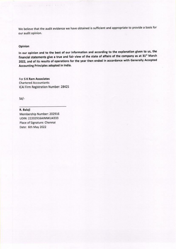We believe that the audit evidence we have obtained is sufficient and appropriate to provide a basis for our audit opinion.

#### Opinion

In our opinion and to the best of our information and according to the explanation given to us, the financial statements give a true and fair view of the state of affairs of the company as at 31st March 2022, and of its results of operations for the year then ended in accordance with Generally Accepted Accounting Principles adopted in India.

For S K Ram Associates **Chartered Accountants** ICAI Firm Registration Number: 2842S

 $1 - 1 - 1$ 

 $Sd$ /-

R. Balaji Membership Number: 202916 UDIN: 22202916AINNKU4333 Place of Signature: Chennai Date: 6th May 2022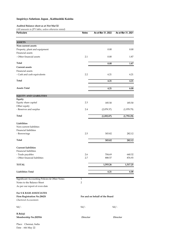#### Audited Balance sheet as at 31st Mar'22

(All amounts in JPY lakhs, unless otherwise stated)

| <b>Particulars</b>                            | <b>Notes</b> | As at Mar 31, 2022             | As at Mar 31, 2021 |
|-----------------------------------------------|--------------|--------------------------------|--------------------|
| <b>ASSETS</b>                                 |              |                                |                    |
| Non-current assets                            |              |                                |                    |
| Property, plant and equipment                 |              | 0.00                           | 0.00               |
| Financial assets                              |              |                                |                    |
|                                               |              |                                |                    |
| - Other financial assets                      | 2.1          | 0.00                           | 1.87               |
| Total                                         |              | 0.00                           | 1.87               |
| <b>Current assets</b>                         |              |                                |                    |
| Financial assets                              |              |                                |                    |
| - Cash and cash equivalents                   | 2.2          | 4.21                           | 4.21               |
| Total                                         |              | 4.21                           | 4.21               |
| <b>Assets Total</b>                           |              | 4.21                           | 6.08               |
|                                               |              |                                |                    |
| <b>EQUITY AND LIABILITIES</b>                 |              |                                |                    |
| Equity<br>Equity share capital                | 2.3          | 185.50                         | 185.50             |
| Other equity                                  |              |                                |                    |
| - Reserves and surplus                        | 2.4          | (2,078.37)                     | (1,978.79)         |
| Total                                         |              | (1,892.87)                     | (1,793.29)         |
| Liabilities                                   |              |                                |                    |
| Non-current liabilities                       |              |                                |                    |
| <b>Financial liabilities</b>                  |              |                                |                    |
| - Borrowings                                  | 2.5          | 303.82                         | 282.12             |
| Total                                         |              | 303.82                         | 282.12             |
|                                               |              |                                |                    |
| <b>Current liabilities</b>                    |              |                                |                    |
| <b>Financial liabilities</b>                  |              |                                |                    |
| - Trade payables                              | 2.6          | 704.69                         | 640.32             |
| - Other financial liabilities                 | 2.7          | 888.57                         | 876.93             |
| <b>TOTAL</b>                                  |              | 1,593.26                       | 1,517.25           |
| <b>Liabilities Total</b>                      |              | 4.21                           | 6.08               |
|                                               |              |                                |                    |
| Significant Accounting Policies & Other Notes | $\mathbf{1}$ |                                |                    |
| Notes to the Balance Sheet                    | 2            |                                |                    |
| As per our report of even date                |              |                                |                    |
|                                               |              |                                |                    |
| For S K RAM ASSOCIATES                        |              |                                |                    |
| Firm Registration No.2842S                    |              | For and on behalf of the Board |                    |
| Chartered Accountants                         |              |                                |                    |
|                                               |              |                                |                    |
| $Sd$ /-                                       | $Sd$ /-      |                                | $Sd$ /-            |
| R.Balaji                                      |              |                                |                    |
| Membership No.202916                          | Director     |                                | Director           |
| Place: Chennai India                          |              |                                |                    |

Place: Chennai, India Date : 6th May 22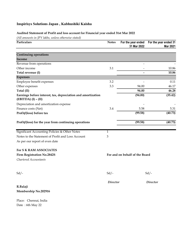## Audited Statement of Profit and loss account for Financial year ended 31st Mar 2022

| Particulars                                                                          | <b>Notes</b>    | 31 Mar 2022                    | For the year ended For the year ended 31<br>Mar 2021 |
|--------------------------------------------------------------------------------------|-----------------|--------------------------------|------------------------------------------------------|
| <b>Continuing operations</b>                                                         |                 |                                |                                                      |
| Income                                                                               |                 |                                |                                                      |
| Revenue from operations                                                              |                 |                                |                                                      |
| Other income                                                                         | 3.1             |                                | 10.86                                                |
| Total revenue (I)                                                                    |                 |                                | 10.86                                                |
| <b>Expenses</b>                                                                      |                 |                                |                                                      |
| Employee benefit expenses                                                            | 3.2             |                                | 0.11                                                 |
| Other expenses                                                                       | 3.3             | 94.00                          | 46.17                                                |
| Total (II)                                                                           |                 | 94.00                          | 46.28                                                |
| Earnings before interest, tax, depreciation and amortization<br>$(BITDA) (I) - (II)$ |                 | (94.00)                        | (35.42)                                              |
| Depreciation and amortization expense                                                |                 |                                |                                                      |
| Finance costs (Net)                                                                  | 3.4             | 5.58                           | 5.31                                                 |
| Profit/(loss) before tax                                                             |                 | (99.58)                        | (40.73)                                              |
| Profit/(loss) for the year from continuing operations                                |                 | (99.58)                        | (40.73)                                              |
| Significant Accounting Policies & Other Notes                                        | 1               |                                |                                                      |
| Notes to the Statement of Profit and Loss Account                                    | $\mathfrak{B}$  |                                |                                                      |
| As per our report of even date                                                       |                 |                                |                                                      |
| <b>For S K RAM ASSOCIATES</b>                                                        |                 |                                |                                                      |
| Firm Registration No.2842S                                                           |                 | For and on behalf of the Board |                                                      |
| Chartered Accountants                                                                |                 |                                |                                                      |
| $Sd$ /-                                                                              | $Sd$ /-         |                                | $Sd$ /-                                              |
|                                                                                      |                 |                                |                                                      |
|                                                                                      | <b>Director</b> |                                | <b>Director</b>                                      |
| R.Balaji                                                                             |                 |                                |                                                      |
| Membership No.202916                                                                 |                 |                                |                                                      |
| Place: Chennai, India                                                                |                 |                                |                                                      |
| Date: 6th May 22                                                                     |                 |                                |                                                      |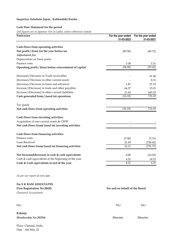#### Cash Flow Statement for the period

(All figures are in Japanese Yen in Lakhs, unless otherwise stated)

| Particulars                                              | For the year ended<br>31-03-2022 | For the year ended<br>31-03-2021 |
|----------------------------------------------------------|----------------------------------|----------------------------------|
| Cash flows from operating activities                     |                                  |                                  |
| Net profit / (loss) for the year before tax              | (99.58)                          | (40.72)                          |
| Adjustment for:                                          |                                  |                                  |
| Depreciation on fixed assets                             |                                  |                                  |
| Finance costs                                            | 5.58                             | 5.31                             |
| Operating profit / (loss) before reinvestment of capital | (94.00)                          | (35.42)                          |
| (Increase)/Decrease in Trade receivables                 |                                  | 61.40                            |
| (Increase)/Decrease in other current assets              |                                  | 8.31                             |
| (Increase)/Decrease in loans and advances                | 1.87                             | 27.15                            |
| Increase/(Decrease) in trade and other payables          | 64.37                            | 15.01                            |
| Increase/(Decrease) in other current liabilities         | 11.65                            | 645.25                           |
| Cash generated from / (used in) operations               | (16.10)                          | 721.69                           |
| Tax (paid)                                               |                                  |                                  |
| Net cash flows from operating activities                 | (16.10)                          | 721.69                           |
| Cash flows from investing activities:                    |                                  |                                  |
| Acquisition of non current assets & CWIP                 |                                  |                                  |
| Net cash flows from/ (used in) investing activities      |                                  |                                  |
| Cash flows from financing activities:                    |                                  |                                  |
| Finance costs                                            | (5.58)                           | (5.31)                           |
| Loan Received                                            | 21.69                            | (726.42)                         |
| Net cash flows from/ (used in) financing activities      | 16.11                            | (731.73)                         |
| Net Increase/(decrease) in cash & cash equivalents       | 0.00                             | (10.03)                          |
| Cash & cash equivalents at the beginning of the year     | 4.21                             | 14.23                            |
| Cash & Cash equivalents at end of the year               | 4.21                             | 4.21                             |

As per our report of even date

## For S K RAM ASSOCIATES Firm Registration No.2842S For and on behalf of the Board

Date : 6th May 22

| Chartered Accountants            |          |                 |
|----------------------------------|----------|-----------------|
| $Sd$ /-                          | $Sd$ /-  | $Sd$ /-         |
| R.Balaji<br>Membership No.202916 | Director | <i>Director</i> |
| Place: Chennai, India            |          |                 |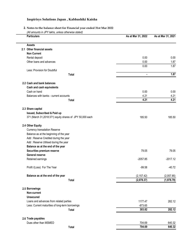### 2. Notes to the balance sheet for Financial year ended 31st Mar 2022

| $\mu$ in announce in order rando, annous otherwise stated<br><b>Particulars</b> | As at Mar 31, 2022 | As at Mar 31, 2021 |
|---------------------------------------------------------------------------------|--------------------|--------------------|
| <b>Assets</b>                                                                   |                    |                    |
| 2.1 Other financial assets                                                      |                    |                    |
| <b>Non Current</b>                                                              |                    |                    |
| Rental deposit                                                                  | 0.00               | 0.00               |
| Other loans and advances                                                        | 0.00               | 1.87               |
|                                                                                 | 0.00               | 1.87               |
| Less: Provision for Doubtful                                                    |                    |                    |
| <b>Total</b>                                                                    | $\blacksquare$     | 1.87               |
| 2.2 Cash and bank balances                                                      |                    |                    |
| Cash and cash equivalents                                                       |                    |                    |
| Cash on hand                                                                    | 0.00               | 0.00               |
| Balances with banks - current accounts                                          | 4.21               | 4.21               |
| <b>Total</b>                                                                    | 4.21               | 4.21               |
| 2.3 Share capital                                                               |                    |                    |
| Issued, Subscribed & Paid up                                                    |                    |                    |
| 371 (March 31,2018:371) equity shares of JPY 50,000 each                        | 185.50             | 185.50             |
| 2.4 Other Equity                                                                |                    |                    |
| <b>Currency transalation Reserve</b>                                            |                    |                    |
| Balance as at the beginning of the year                                         |                    |                    |
| Add: Reserve Credited during the year                                           |                    |                    |
| Add: Reserve Utilised during the year                                           |                    |                    |
| Balance as at the end of the year                                               |                    |                    |
| Securities premium reserve                                                      | 79.05              | 79.05              |
| <b>General reserve</b>                                                          |                    |                    |
| Retained earnings                                                               | $-2057.85$         | $-2017.12$         |
| Profit /(Loss) For The Year                                                     | $-99.58$           | $-40.72$           |
| Balance as at the end of the year                                               | (2, 157.42)        | (2,057.85)         |
| <b>Total</b>                                                                    | (2,078.37)         | (1,978.79)         |
| 2.5 Borrowings                                                                  |                    |                    |
| Non-current                                                                     |                    |                    |
| <b>Unsecured</b>                                                                |                    |                    |
| Loans and advances from related parties                                         | 1177.47            | 282.12             |
| Less: Current maturities of long-term borrowings                                | $-873.65$          |                    |
| Total                                                                           | 303.82             | 282.12             |
| 2.6 Trade payables                                                              |                    |                    |
| Dues other than MSMED                                                           | 704.69             | 640.32             |
| <b>Total</b>                                                                    | 704.69             | 640.32             |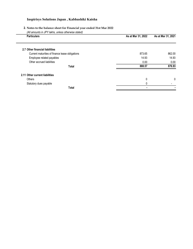### 2. Notes to the balance sheet for Financial year ended 31st Mar 2022

| <b>Particulars</b>                              | As at Mar 31, 2022 | As at Mar 31, 2021 |
|-------------------------------------------------|--------------------|--------------------|
| 2.7 Other financial liabilities                 |                    |                    |
| Current maturities of finance lease obligations | 873.65             | 862.00             |
| Employee related payables                       | 14.93              | 14.93              |
| Other accrued liabilities                       | 0.00               | 0.00               |
| <b>Total</b>                                    | 888.57             | 876.93             |
| 2.11 Other current liabilities                  |                    |                    |
| <b>Others</b>                                   | 0                  | $\mathbf{0}$       |
| Statutory dues payable                          |                    |                    |
| Total                                           |                    |                    |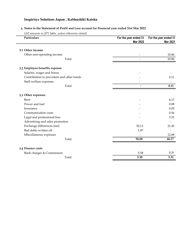## 3. Notes to the Statement of Profit and Loss account for Financial year ended 31st Mar 2022

| n mnomno m ji i mmo, mnose omorano emnon<br>Particulars | For the year ended 31<br><b>Mar 2022</b> | For the year ended 31<br>Mar 2021 |
|---------------------------------------------------------|------------------------------------------|-----------------------------------|
| 3.1 Other income                                        |                                          |                                   |
| Other non-operating income                              |                                          | 10.86                             |
| Total                                                   |                                          | 10.86                             |
| 3.2 Employee benefits expense                           |                                          |                                   |
| Salaries, wages and bonus                               |                                          |                                   |
| Contribution to provident and other funds               |                                          | 0.11                              |
| Staff welfare expenses                                  |                                          |                                   |
| Total                                                   |                                          | 0.11                              |
| 3.3 Other expenses                                      |                                          |                                   |
| Rent                                                    |                                          | 8.17                              |
| Power and fuel                                          |                                          | 0.08                              |
| Insurance                                               |                                          | 0.02                              |
| Communication costs                                     |                                          | 0.56                              |
| Legal and professional fees                             |                                          | 3.21                              |
| Advertising and sales promotion                         |                                          |                                   |
| Exchange differences (net)                              | 92.13                                    | 21.45                             |
| Bad debts written off                                   | 1.87                                     |                                   |
| Miscellaneous expenses                                  |                                          | 12.68                             |
| Total                                                   | 94.00                                    | 46.17                             |
| 3.4 Finance costs                                       |                                          |                                   |
| Bank charges & Commission                               | 5.58                                     | 5.31                              |
| Total                                                   | 5.58                                     | 5.31                              |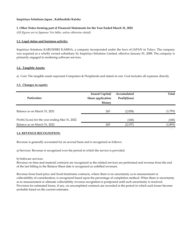#### 1. Other Notes forming part of Financial Statements for the Year Ended March 31, 2022

(All figures are in Japanese Yen lakhs, unless otherwise stated)

#### 1.1. Legal status and business activity:

Inspirisys Solutions KABUSHIKI KAISHA, a company incorporated under the laws of JAPAN in Tokyo. The company was acquired as a wholly owned subsidiary by Inspirisys Solutions Limited, effective January 01, 2008. The company is primarily engaged in rendering software services.

#### 1.2. Tangible Assets:

a) Cost: The tangible assets represent Computers & Peripherals and stated at cost. Cost includes all expenses directly

#### 1.3. Changes in equity:

| <b>Particulars</b>                             | <b>Issued Capital/</b><br>Share application<br>Money | Accumulated<br>Profit/(loss) | Total   |
|------------------------------------------------|------------------------------------------------------|------------------------------|---------|
| Balance as on March 31, 2021                   | 265                                                  | (2,058)                      | (1,793) |
| Profit/(Loss) for the year ending Mar 31, 2022 |                                                      | (100)                        | (100)   |
| Balance as on March 31, 2022                   | 265                                                  | (2,157)                      | (1,893) |

#### 1.4. REVENUE RECOGNITION:

Revenue is generally accounted for on accrual basis and is recognized as follows:

a) Services: Revenue is recognized over the period in which the service is provided.

b) Software services:

Revenue on time-and-material contracts are recognized as the related services are performed and revenue from the end of the last billing to the Balance Sheet date is recognized as unbilled revenues.

Revenue from fixed-price and fixed-timeframe contracts, where there is no uncertainty as to measurement or collectability of consideration, is recognized based upon the percentage of completion method. When there is uncertainty as to measurement or ultimate collectability revenue recognition is postponed until such uncertainty is resolved. Provision for estimated losses, if any, on uncompleted contracts are recorded in the period in which such losses become probable based on the current estimates.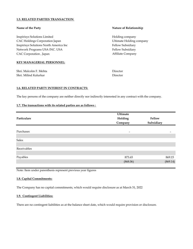#### 1.5. RELATED PARTIES TRANSACTION

Inspirisys Solutions Limited Holding company CAC Holdings Corporation Japan Ultimate Holding company Inspirisys Solutions North America Inc Fellow Subsidiary Network Programs USA INC. USA Fellow Subsidiary CAC Corporation , Japan **Affiliate Company** Affiliate Company

#### KEY MANAGERIAL PERSONNEL:

Shri. Malcolm F. Mehta Director Shri. Milind Kalurkar Director

#### Name of the Party **Nature of Relationship** Nature of Relationship

#### 1.6. RELATED PARTY INTEREST IN CONTRACTS:

The key persons of the company are neither directly nor indirectly interested in any contract with the company.

#### 1.7. The transactions with its related parties are as follows :

| Particulars | Ultimate<br>Holding      | Fellow     |
|-------------|--------------------------|------------|
|             | Company                  | Subsidiary |
| Purchases   | $\overline{\phantom{a}}$ |            |
| Sales       |                          |            |
| Receivables |                          |            |
| Payables    | 873.65                   | 869.15     |
|             | (868.06)                 | (869.14)   |

Note: Item under parenthesis represent previous year figures

#### 1.8. Capital Commitments:

The Company has no capital commitments, which would require disclosure as at March 31, 2022

#### 1.9. Contingent Liabilities:

There are no contingent liabilities as at the balance sheet date, which would require provision or disclosure.